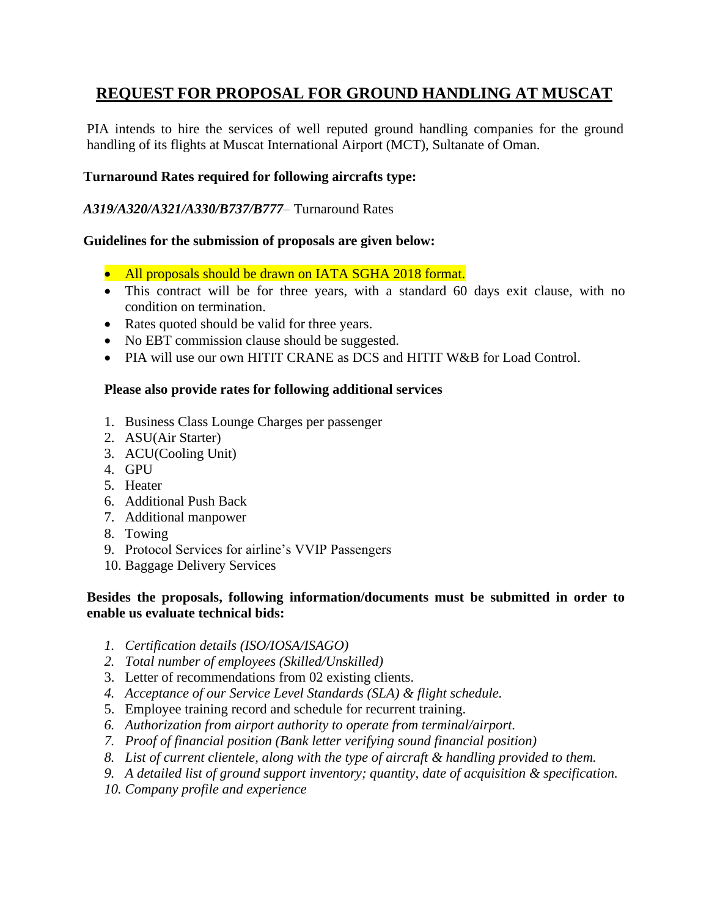# **REQUEST FOR PROPOSAL FOR GROUND HANDLING AT MUSCAT**

PIA intends to hire the services of well reputed ground handling companies for the ground handling of its flights at Muscat International Airport (MCT), Sultanate of Oman.

### **Turnaround Rates required for following aircrafts type:**

### *A319/A320/A321/A330/B737/B777*– Turnaround Rates

# **Guidelines for the submission of proposals are given below:**

- All proposals should be drawn on IATA SGHA 2018 format.
- This contract will be for three years, with a standard 60 days exit clause, with no condition on termination.
- Rates quoted should be valid for three years.
- No EBT commission clause should be suggested.
- PIA will use our own HITIT CRANE as DCS and HITIT W&B for Load Control.

### **Please also provide rates for following additional services**

- 1. Business Class Lounge Charges per passenger
- 2. ASU(Air Starter)
- 3. ACU(Cooling Unit)
- 4. GPU
- 5. Heater
- 6. Additional Push Back
- 7. Additional manpower
- 8. Towing
- 9. Protocol Services for airline's VVIP Passengers
- 10. Baggage Delivery Services

### **Besides the proposals, following information/documents must be submitted in order to enable us evaluate technical bids:**

- *1. Certification details (ISO/IOSA/ISAGO)*
- *2. Total number of employees (Skilled/Unskilled)*
- 3. Letter of recommendations from 02 existing clients.
- *4. Acceptance of our Service Level Standards (SLA) & flight schedule.*
- 5. Employee training record and schedule for recurrent training.
- *6. Authorization from airport authority to operate from terminal/airport.*
- *7. Proof of financial position (Bank letter verifying sound financial position)*
- *8. List of current clientele, along with the type of aircraft & handling provided to them.*
- *9. A detailed list of ground support inventory; quantity, date of acquisition & specification.*
- *10. Company profile and experience*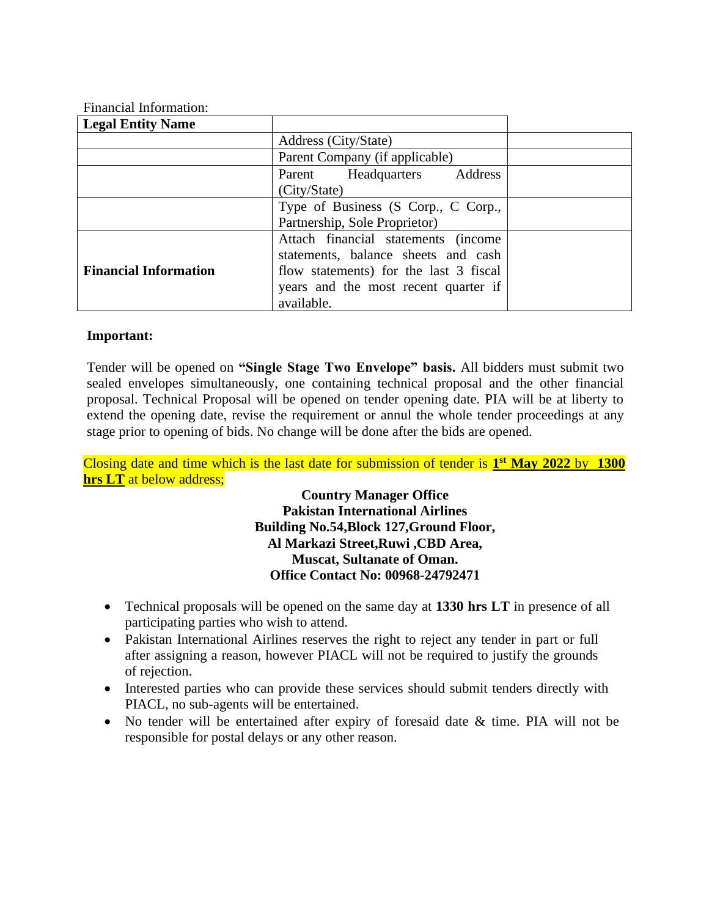| <b>Legal Entity Name</b>     |                                        |  |  |
|------------------------------|----------------------------------------|--|--|
|                              |                                        |  |  |
|                              | Address (City/State)                   |  |  |
|                              | Parent Company (if applicable)         |  |  |
|                              | Headquarters<br>Address<br>Parent      |  |  |
|                              | (City/State)                           |  |  |
|                              | Type of Business (S Corp., C Corp.,    |  |  |
|                              | Partnership, Sole Proprietor)          |  |  |
|                              | Attach financial statements (income    |  |  |
|                              | statements, balance sheets and cash    |  |  |
| <b>Financial Information</b> | flow statements) for the last 3 fiscal |  |  |
|                              | years and the most recent quarter if   |  |  |
|                              | available.                             |  |  |

# Financial Information:

#### **Important:**

Tender will be opened on **"Single Stage Two Envelope" basis.** All bidders must submit two sealed envelopes simultaneously, one containing technical proposal and the other financial proposal. Technical Proposal will be opened on tender opening date. PIA will be at liberty to extend the opening date, revise the requirement or annul the whole tender proceedings at any stage prior to opening of bids. No change will be done after the bids are opened.

Closing date and time which is the last date for submission of tender is **1 st May 2022** by **1300 hrs LT** at below address;

> **Country Manager Office Pakistan International Airlines Building No.54,Block 127,Ground Floor, Al Markazi Street,Ruwi ,CBD Area, Muscat, Sultanate of Oman. Office Contact No: [00968-24792471](callto:00968-24792471)**

- Technical proposals will be opened on the same day at **1330 hrs LT** in presence of all participating parties who wish to attend.
- Pakistan International Airlines reserves the right to reject any tender in part or full after assigning a reason, however PIACL will not be required to justify the grounds of rejection.
- Interested parties who can provide these services should submit tenders directly with PIACL, no sub-agents will be entertained.
- No tender will be entertained after expiry of foresaid date & time. PIA will not be responsible for postal delays or any other reason.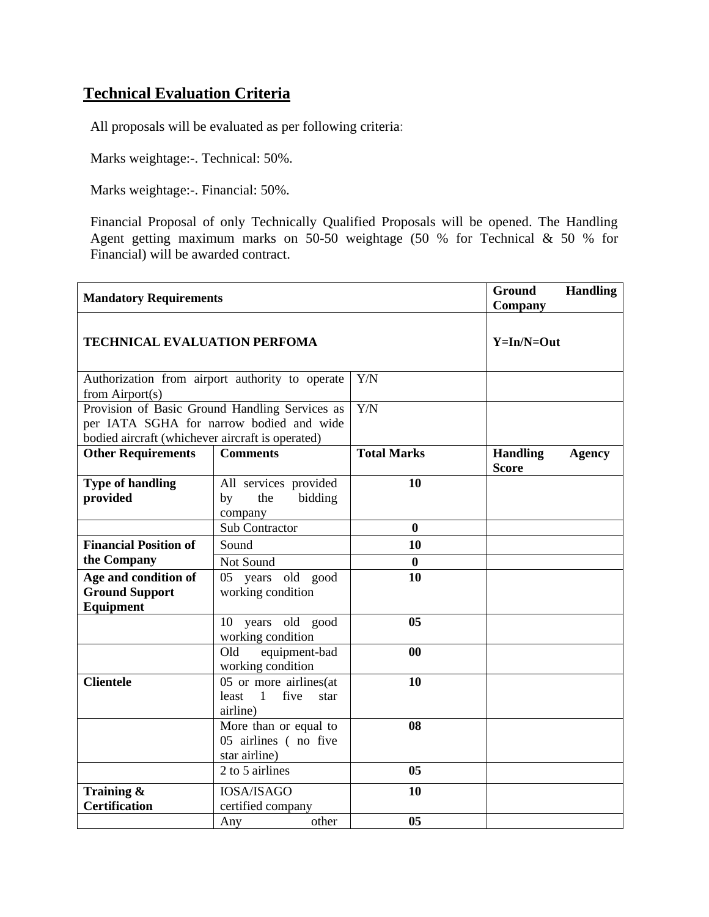# **Technical Evaluation Criteria**

All proposals will be evaluated as per following criteria:

Marks weightage:-. Technical: 50%.

Marks weightage:-. Financial: 50%.

Financial Proposal of only Technically Qualified Proposals will be opened. The Handling Agent getting maximum marks on 50-50 weightage (50 % for Technical & 50 % for Financial) will be awarded contract.

| <b>Mandatory Requirements</b>                                                                                                                  |                                                                               | Ground<br><b>Handling</b><br>Company |                                                  |
|------------------------------------------------------------------------------------------------------------------------------------------------|-------------------------------------------------------------------------------|--------------------------------------|--------------------------------------------------|
| <b>TECHNICAL EVALUATION PERFOMA</b>                                                                                                            |                                                                               |                                      | $Y=In/N=Out$                                     |
| Authorization from airport authority to operate<br>from $Airport(s)$                                                                           |                                                                               | Y/N                                  |                                                  |
| Provision of Basic Ground Handling Services as<br>per IATA SGHA for narrow bodied and wide<br>bodied aircraft (whichever aircraft is operated) |                                                                               | $\overline{Y/N}$                     |                                                  |
| <b>Other Requirements</b>                                                                                                                      | <b>Comments</b>                                                               | <b>Total Marks</b>                   | <b>Handling</b><br><b>Agency</b><br><b>Score</b> |
| <b>Type of handling</b><br>provided                                                                                                            | All services provided<br>the<br>bidding<br>by<br>company                      | 10                                   |                                                  |
|                                                                                                                                                | <b>Sub Contractor</b>                                                         | $\bf{0}$                             |                                                  |
| <b>Financial Position of</b>                                                                                                                   | Sound                                                                         | 10                                   |                                                  |
| the Company                                                                                                                                    | Not Sound                                                                     | $\boldsymbol{0}$                     |                                                  |
| Age and condition of<br><b>Ground Support</b><br>Equipment                                                                                     | 05 years old good<br>working condition                                        | 10                                   |                                                  |
|                                                                                                                                                | years old good<br>10<br>working condition                                     | 05                                   |                                                  |
|                                                                                                                                                | Old<br>equipment-bad<br>working condition                                     | 00                                   |                                                  |
| <b>Clientele</b>                                                                                                                               | 05 or more airlines(at<br>least<br>$\overline{1}$<br>five<br>star<br>airline) | 10                                   |                                                  |
|                                                                                                                                                | More than or equal to<br>05 airlines (no five<br>star airline)                | 08                                   |                                                  |
|                                                                                                                                                | 2 to 5 airlines                                                               | 0 <sub>5</sub>                       |                                                  |
| Training &<br><b>Certification</b>                                                                                                             | <b>IOSA/ISAGO</b><br>certified company                                        | 10                                   |                                                  |
|                                                                                                                                                | other<br>Any                                                                  | 0 <sub>5</sub>                       |                                                  |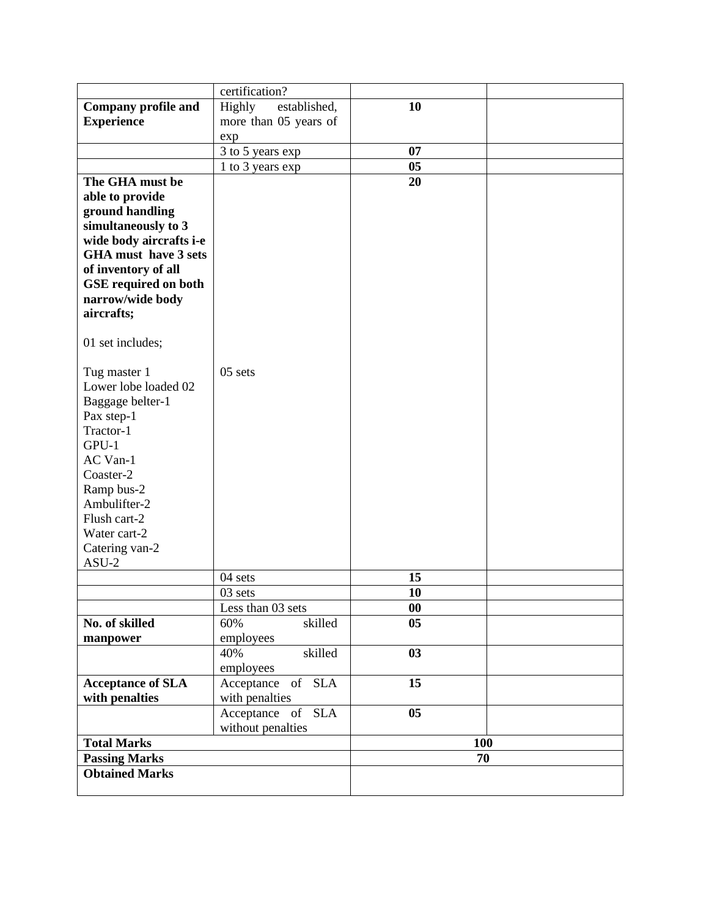|                             | certification?                            |                |     |
|-----------------------------|-------------------------------------------|----------------|-----|
| <b>Company profile and</b>  | Highly<br>established,                    | 10             |     |
| <b>Experience</b>           | more than 05 years of                     |                |     |
|                             | exp                                       |                |     |
|                             | 3 to 5 years exp                          | 07             |     |
|                             | 1 to 3 years exp                          | 05             |     |
| The GHA must be             |                                           | 20             |     |
| able to provide             |                                           |                |     |
| ground handling             |                                           |                |     |
| simultaneously to 3         |                                           |                |     |
| wide body aircrafts i-e     |                                           |                |     |
| <b>GHA</b> must have 3 sets |                                           |                |     |
| of inventory of all         |                                           |                |     |
| <b>GSE</b> required on both |                                           |                |     |
| narrow/wide body            |                                           |                |     |
| aircrafts;                  |                                           |                |     |
| 01 set includes;            |                                           |                |     |
|                             |                                           |                |     |
| Tug master 1                | 05 sets                                   |                |     |
| Lower lobe loaded 02        |                                           |                |     |
| Baggage belter-1            |                                           |                |     |
| Pax step-1                  |                                           |                |     |
| Tractor-1                   |                                           |                |     |
| GPU-1                       |                                           |                |     |
| AC Van-1                    |                                           |                |     |
| Coaster-2                   |                                           |                |     |
| Ramp bus-2                  |                                           |                |     |
| Ambulifter-2                |                                           |                |     |
| Flush cart-2                |                                           |                |     |
| Water cart-2                |                                           |                |     |
| Catering van-2              |                                           |                |     |
| $ASU-2$                     |                                           |                |     |
|                             | 04 sets                                   | 15             |     |
|                             | 03 sets                                   | 10             |     |
|                             | Less than 03 sets                         | $\bf{00}$      |     |
| No. of skilled              | 60%<br>skilled                            | 0 <sub>5</sub> |     |
| manpower                    | employees<br>$40\overline{\%}$<br>skilled | 03             |     |
|                             | employees                                 |                |     |
| <b>Acceptance of SLA</b>    | Acceptance of SLA                         | 15             |     |
| with penalties              | with penalties                            |                |     |
|                             | Acceptance of SLA                         | 0 <sub>5</sub> |     |
|                             | without penalties                         |                |     |
| <b>Total Marks</b>          |                                           |                | 100 |
| <b>Passing Marks</b>        |                                           |                | 70  |
| <b>Obtained Marks</b>       |                                           |                |     |
|                             |                                           |                |     |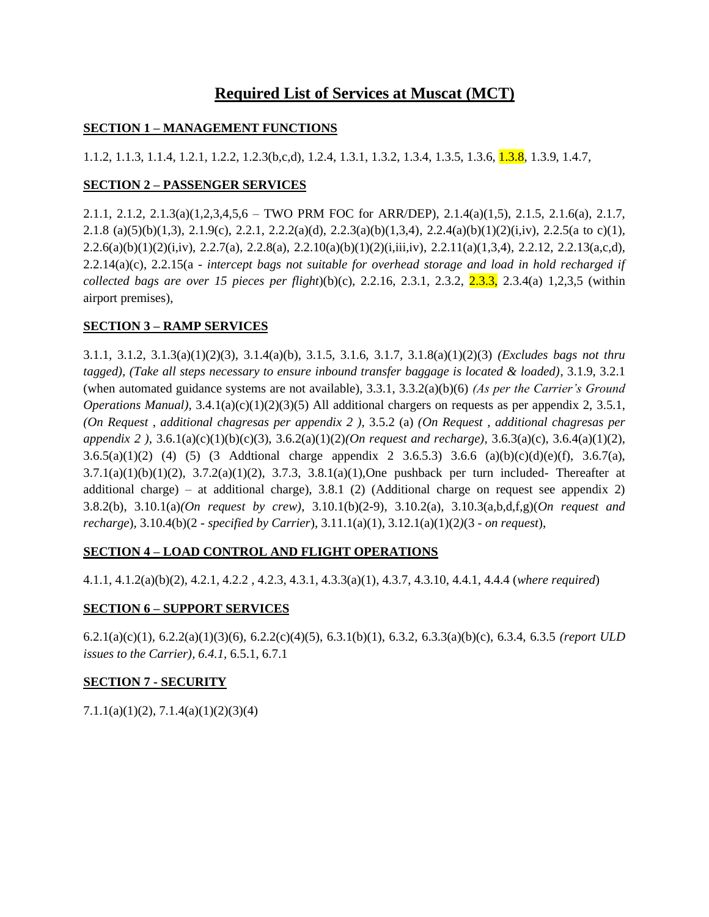# **Required List of Services at Muscat (MCT)**

### **SECTION 1 – MANAGEMENT FUNCTIONS**

1.1.2, 1.1.3, 1.1.4, 1.2.1, 1.2.2, 1.2.3(b,c,d), 1.2.4, 1.3.1, 1.3.2, 1.3.4, 1.3.5, 1.3.6, 1.3.8, 1.3.9, 1.4.7,

# **SECTION 2 – PASSENGER SERVICES**

2.1.1, 2.1.2, 2.1.3(a)(1,2,3,4,5,6 – TWO PRM FOC for ARR/DEP), 2.1.4(a)(1,5), 2.1.5, 2.1.6(a), 2.1.7, 2.1.8 (a)(5)(b)(1,3)*,* 2.1.9(c), 2.2.1, 2.2.2(a)(d), 2.2.3(a)(b)(1,3,4)*,* 2.2.4(a)(b)(1)(2)(i,iv), 2.2.5(a to c)(1)*,*   $2.2.6(a)(b)(1)(2)(i,iv)$ ,  $2.2.7(a)$ ,  $2.2.8(a)$ ,  $2.2.10(a)(b)(1)(2)(i,iii,iv)$ ,  $2.2.11(a)(1,3,4)$ ,  $2.2.12$ ,  $2.2.13(a,c,d)$ , 2.2.14(a)(c), 2.2.15(a - *intercept bags not suitable for overhead storage and load in hold recharged if collected bags are over 15 pieces per flight*)(b)(c), 2.2.16, 2.3.1*,* 2.3.2, 2.3.3, 2.3.4(a) 1,2,3,5 (within airport premises),

# **SECTION 3 – RAMP SERVICES**

3.1.1, 3.1.2, 3.1.3(a)(1)(2)(3), 3.1.4(a)(b), 3.1.5, 3.1.6, 3.1.7, 3.1.8(a)(1)(2)(3) *(Excludes bags not thru tagged), (Take all steps necessary to ensure inbound transfer baggage is located & loaded)*, 3.1.9, 3.2.1 (when automated guidance systems are not available), 3.3.1, 3.3.2(a)(b)(6) *(As per the Carrier's Ground Operations Manual*),  $3.4.1(a)(c)(1)(2)(3)(5)$  All additional chargers on requests as per appendix 2, 3.5.1, *(On Request , additional chagresas per appendix 2 ),* 3.5.2 (a) *(On Request , additional chagresas per appendix 2 ),* 3.6.1(a)(c)(1)(b)(c)(3), 3.6.2(a)(1)(2)*(On request and recharge),* 3.6.3(a)(c), 3.6.4(a)(1)(2), 3.6.5(a)(1)(2) (4) (5) (3 Addtional charge appendix 2 3.6.5.3) 3.6.6 (a)(b)(c)(d)(e)(f), 3.6.7(a),  $3.7.1(a)(1)(b)(1)(2)$ ,  $3.7.2(a)(1)(2)$ ,  $3.7.3$ ,  $3.8.1(a)(1)$ , One pushback per turn included- Thereafter at additional charge) – at additional charge), 3.8.1 (2) (Additional charge on request see appendix 2) 3.8.2(b), 3.10.1(a)*(On request by crew)*, 3.10.1(b)(2-9), 3.10.2(a), 3.10.3(a,b,d,f,g)(*On request and recharge*), 3.10.4(b)(2 - *specified by Carrier*), 3.11.1(a)(1), 3.12.1(a)(1)(2*)*(3 - *on request*),

# **SECTION 4 – LOAD CONTROL AND FLIGHT OPERATIONS**

4.1.1, 4.1.2(a)(b)(2), 4.2.1, 4.2.2 , 4.2.3, 4.3.1, 4.3.3(a)(1), 4.3.7, 4.3.10, 4.4.1, 4.4.4 (*where required*)

# **SECTION 6 – SUPPORT SERVICES**

6.2.1(a)(c)(1)*,* 6.2.2(a)(1)(3)(6), 6.2.2(c)(4)(5), 6.3.1(b)(1), 6.3.2, 6.3.3(a)(b)(c), 6.3.4, 6.3.5 *(report ULD issues to the Carrier), 6.4.1,* 6.5.1, 6.7.1

# **SECTION 7 - SECURITY**

7.1.1(a)(1)(2), 7.1.4(a)(1)(2)(3)(4)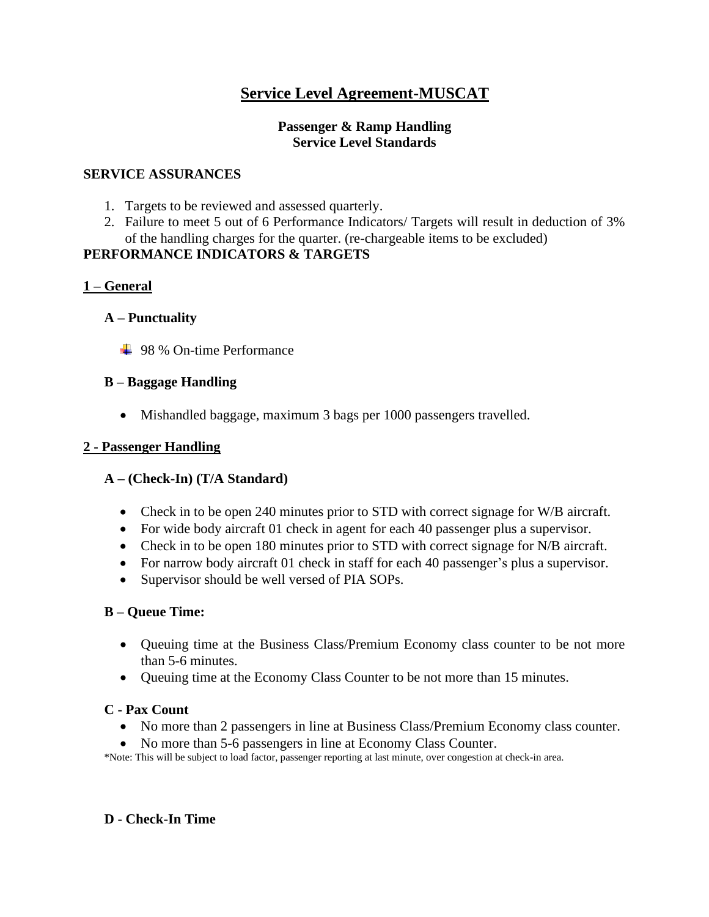# **Service Level Agreement-MUSCAT**

### **Passenger & Ramp Handling Service Level Standards**

### **SERVICE ASSURANCES**

- 1. Targets to be reviewed and assessed quarterly.
- 2. Failure to meet 5 out of 6 Performance Indicators/ Targets will result in deduction of 3% of the handling charges for the quarter. (re-chargeable items to be excluded)

# **PERFORMANCE INDICATORS & TARGETS**

# **1 – General**

# **A – Punctuality**

**↓ 98 % On-time Performance** 

# **B – Baggage Handling**

• Mishandled baggage, maximum 3 bags per 1000 passengers travelled.

# **2 - Passenger Handling**

# **A – (Check-In) (T/A Standard)**

- Check in to be open 240 minutes prior to STD with correct signage for W/B aircraft.
- For wide body aircraft 01 check in agent for each 40 passenger plus a supervisor.
- Check in to be open 180 minutes prior to STD with correct signage for N/B aircraft.
- For narrow body aircraft 01 check in staff for each 40 passenger's plus a supervisor.
- Supervisor should be well versed of PIA SOPs.

# **B – Queue Time:**

- Queuing time at the Business Class/Premium Economy class counter to be not more than 5-6 minutes.
- Queuing time at the Economy Class Counter to be not more than 15 minutes.

# **C - Pax Count**

- No more than 2 passengers in line at Business Class/Premium Economy class counter.
- No more than 5-6 passengers in line at Economy Class Counter.

\*Note: This will be subject to load factor, passenger reporting at last minute, over congestion at check-in area.

# **D - Check-In Time**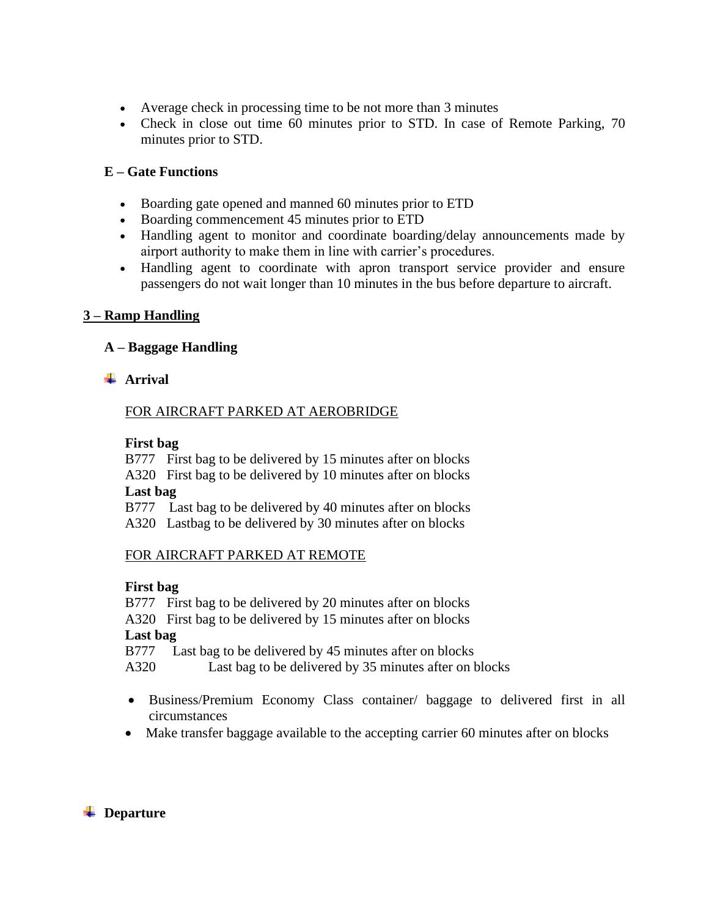- Average check in processing time to be not more than 3 minutes
- Check in close out time 60 minutes prior to STD. In case of Remote Parking, 70 minutes prior to STD.

### **E – Gate Functions**

- Boarding gate opened and manned 60 minutes prior to ETD
- Boarding commencement 45 minutes prior to ETD
- Handling agent to monitor and coordinate boarding/delay announcements made by airport authority to make them in line with carrier's procedures.
- Handling agent to coordinate with apron transport service provider and ensure passengers do not wait longer than 10 minutes in the bus before departure to aircraft.

### **3 – Ramp Handling**

# **A – Baggage Handling**

### **Arrival**

### FOR AIRCRAFT PARKED AT AEROBRIDGE

### **First bag**

B777 First bag to be delivered by 15 minutes after on blocks

A320 First bag to be delivered by 10 minutes after on blocks **Last bag**

B777 Last bag to be delivered by 40 minutes after on blocks

A320 Lastbag to be delivered by 30 minutes after on blocks

### FOR AIRCRAFT PARKED AT REMOTE

### **First bag**

B777 First bag to be delivered by 20 minutes after on blocks

A320 First bag to be delivered by 15 minutes after on blocks

### **Last bag**

B777 Last bag to be delivered by 45 minutes after on blocks

A320 Last bag to be delivered by 35 minutes after on blocks

- Business/Premium Economy Class container/ baggage to delivered first in all circumstances
- Make transfer baggage available to the accepting carrier 60 minutes after on blocks

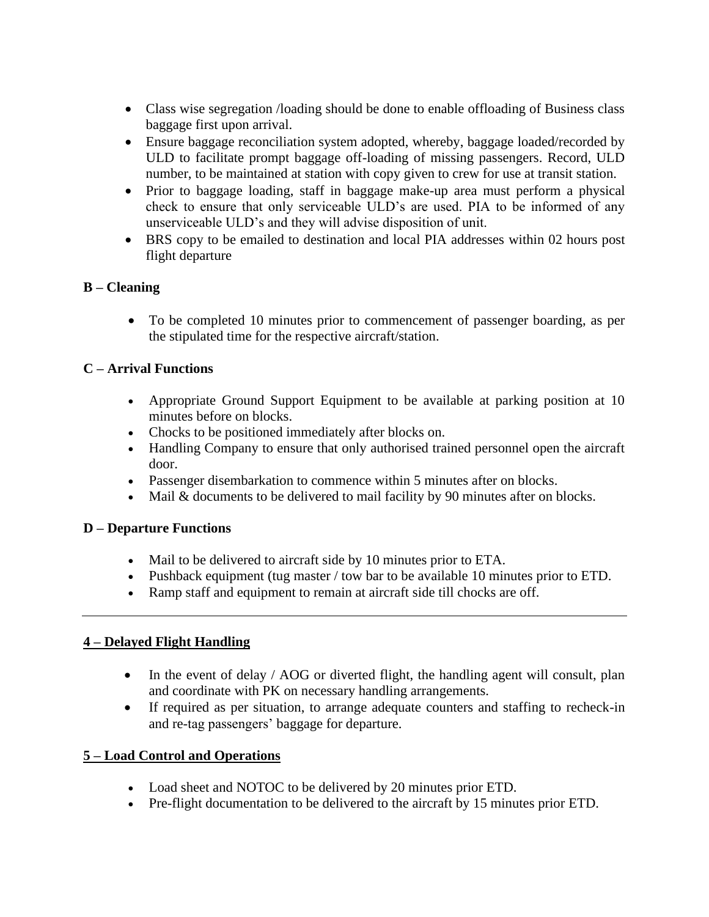- Class wise segregation */loading should be done to enable offloading of Business class* baggage first upon arrival.
- Ensure baggage reconciliation system adopted, whereby, baggage loaded/recorded by ULD to facilitate prompt baggage off-loading of missing passengers. Record, ULD number, to be maintained at station with copy given to crew for use at transit station.
- Prior to baggage loading, staff in baggage make-up area must perform a physical check to ensure that only serviceable ULD's are used. PIA to be informed of any unserviceable ULD's and they will advise disposition of unit.
- BRS copy to be emailed to destination and local PIA addresses within 02 hours post flight departure

# **B – Cleaning**

• To be completed 10 minutes prior to commencement of passenger boarding, as per the stipulated time for the respective aircraft/station.

# **C – Arrival Functions**

- Appropriate Ground Support Equipment to be available at parking position at 10 minutes before on blocks.
- Chocks to be positioned immediately after blocks on.
- Handling Company to ensure that only authorised trained personnel open the aircraft door.
- Passenger disembarkation to commence within 5 minutes after on blocks.
- Mail & documents to be delivered to mail facility by 90 minutes after on blocks.

# **D – Departure Functions**

- Mail to be delivered to aircraft side by 10 minutes prior to ETA.
- Pushback equipment (tug master / tow bar to be available 10 minutes prior to ETD.
- Ramp staff and equipment to remain at aircraft side till chocks are off.

# **4 – Delayed Flight Handling**

- In the event of delay / AOG or diverted flight, the handling agent will consult, plan and coordinate with PK on necessary handling arrangements.
- If required as per situation, to arrange adequate counters and staffing to recheck-in and re-tag passengers' baggage for departure.

# **5 – Load Control and Operations**

- Load sheet and NOTOC to be delivered by 20 minutes prior ETD.
- Pre-flight documentation to be delivered to the aircraft by 15 minutes prior ETD.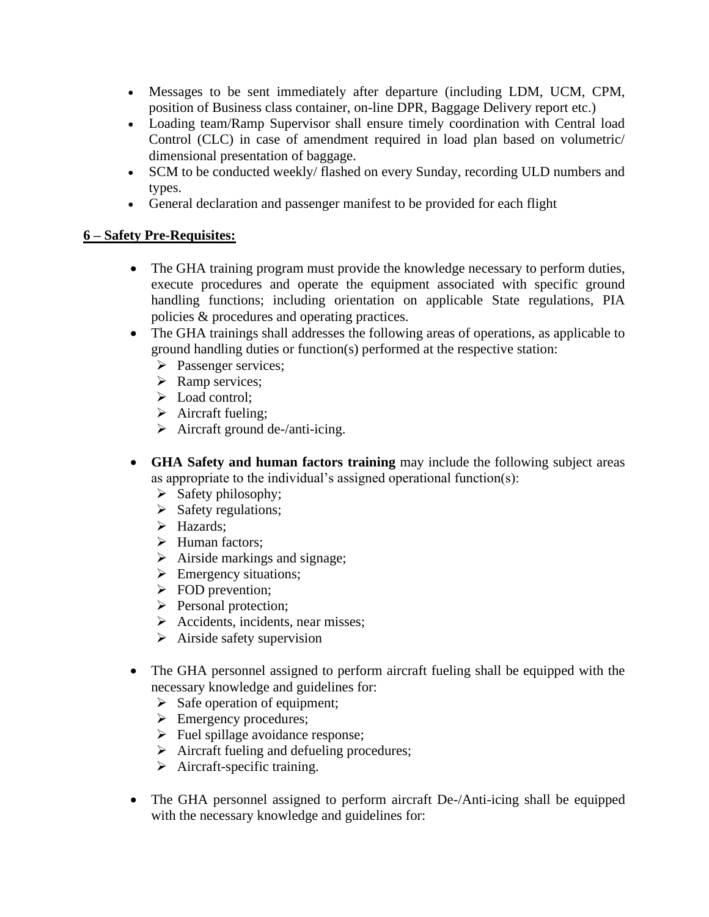- Messages to be sent immediately after departure (including LDM, UCM, CPM, position of Business class container, on-line DPR, Baggage Delivery report etc.)
- Loading team/Ramp Supervisor shall ensure timely coordination with Central load Control (CLC) in case of amendment required in load plan based on volumetric/ dimensional presentation of baggage.
- SCM to be conducted weekly/ flashed on every Sunday, recording ULD numbers and types.
- General declaration and passenger manifest to be provided for each flight

# **6 – Safety Pre-Requisites:**

- The GHA training program must provide the knowledge necessary to perform duties, execute procedures and operate the equipment associated with specific ground handling functions; including orientation on applicable State regulations, PIA policies & procedures and operating practices.
- The GHA trainings shall addresses the following areas of operations, as applicable to ground handling duties or function(s) performed at the respective station:
	- ➢ Passenger services;
	- ➢ Ramp services;
	- ➢ Load control;
	- $\triangleright$  Aircraft fueling;
	- $\triangleright$  Aircraft ground de-/anti-icing.
- **GHA Safety and human factors training** may include the following subject areas as appropriate to the individual's assigned operational function(s):
	- $\triangleright$  Safety philosophy;
	- ➢ Safety regulations;
	- ➢ Hazards;
	- ➢ Human factors;
	- $\triangleright$  Airside markings and signage;
	- $\triangleright$  Emergency situations;
	- ➢ FOD prevention;
	- ➢ Personal protection;
	- ➢ Accidents, incidents, near misses;
	- $\triangleright$  Airside safety supervision
- The GHA personnel assigned to perform aircraft fueling shall be equipped with the necessary knowledge and guidelines for:
	- $\triangleright$  Safe operation of equipment;
	- ➢ Emergency procedures;
	- $\triangleright$  Fuel spillage avoidance response;
	- ➢ Aircraft fueling and defueling procedures;
	- $\triangleright$  Aircraft-specific training.
- The GHA personnel assigned to perform aircraft De-/Anti-icing shall be equipped with the necessary knowledge and guidelines for: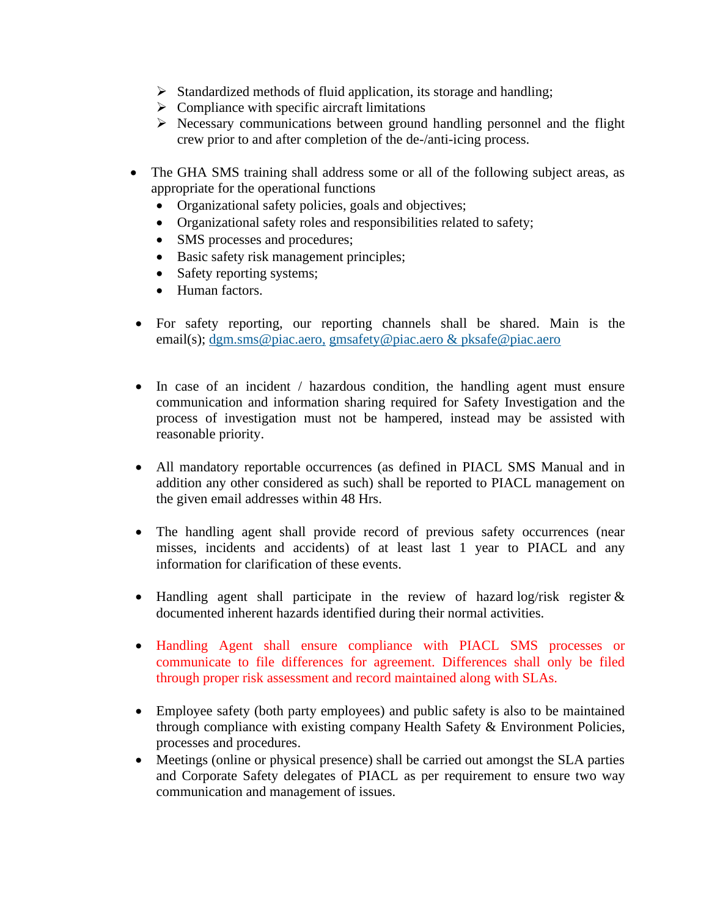- ➢ Standardized methods of fluid application, its storage and handling;
- $\triangleright$  Compliance with specific aircraft limitations
- ➢ Necessary communications between ground handling personnel and the flight crew prior to and after completion of the de-/anti-icing process.
- The GHA SMS training shall address some or all of the following subject areas, as appropriate for the operational functions
	- Organizational safety policies, goals and objectives;
	- Organizational safety roles and responsibilities related to safety;
	- SMS processes and procedures;
	- Basic safety risk management principles;
	- Safety reporting systems;
	- Human factors.
- For safety reporting, our reporting channels shall be shared. Main is the email(s); [dgm.sms@piac.aero,](mailto:dgm.sms@piac.aero,) [gmsafety@piac.aero & pksafe@piac.aero](mailto:gmsafety@piac.aero,)
- In case of an incident / hazardous condition, the handling agent must ensure communication and information sharing required for Safety Investigation and the process of investigation must not be hampered, instead may be assisted with reasonable priority.
- All mandatory reportable occurrences (as defined in PIACL SMS Manual and in addition any other considered as such) shall be reported to PIACL management on the given email addresses within 48 Hrs.
- The handling agent shall provide record of previous safety occurrences (near misses, incidents and accidents) of at least last 1 year to PIACL and any information for clarification of these events.
- Handling agent shall participate in the review of hazard log/risk register & documented inherent hazards identified during their normal activities.
- Handling Agent shall ensure compliance with PIACL SMS processes or communicate to file differences for agreement. Differences shall only be filed through proper risk assessment and record maintained along with SLAs.
- Employee safety (both party employees) and public safety is also to be maintained through compliance with existing company Health Safety & Environment Policies, processes and procedures.
- Meetings (online or physical presence) shall be carried out amongst the SLA parties and Corporate Safety delegates of PIACL as per requirement to ensure two way communication and management of issues.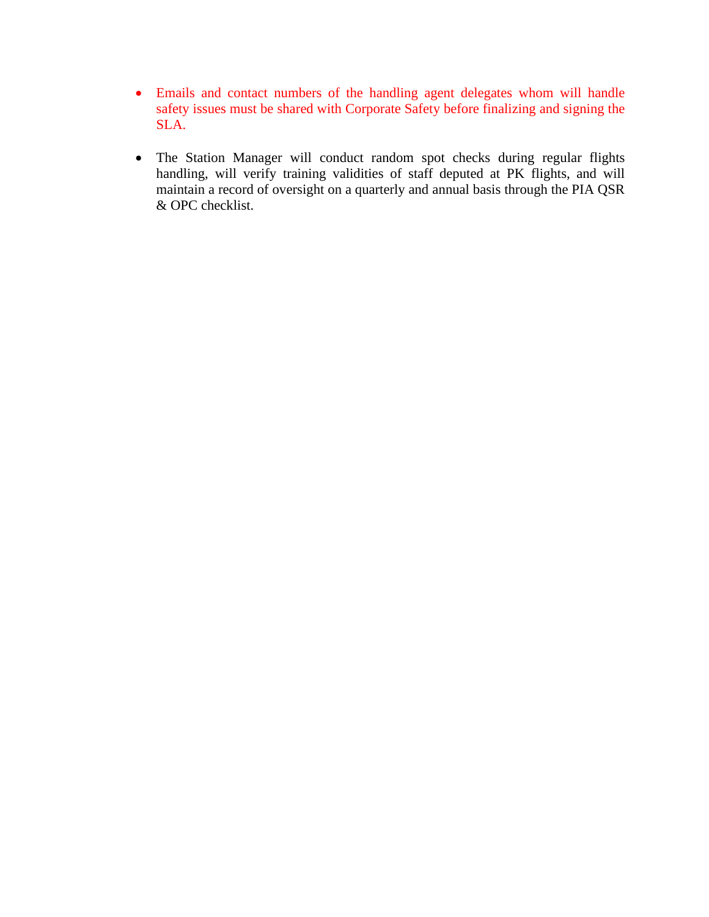- Emails and contact numbers of the handling agent delegates whom will handle safety issues must be shared with Corporate Safety before finalizing and signing the SLA.
- The Station Manager will conduct random spot checks during regular flights handling, will verify training validities of staff deputed at PK flights, and will maintain a record of oversight on a quarterly and annual basis through the PIA QSR & OPC checklist.